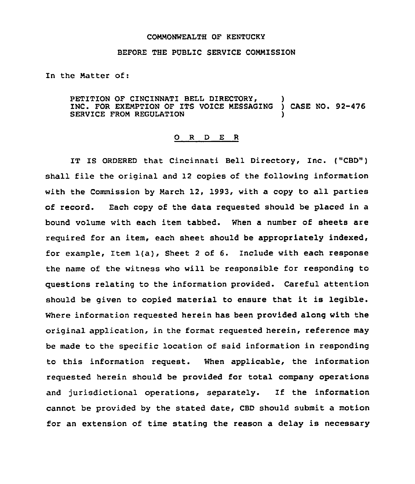## COMMONWEALTH OF KENTUCKY

## BEFORE THE PUBLIC SERVICE COMMISSION

In the Natter of:

PETITION OF CINCINNATI BELL DIRECTORY, INC. FOR EXEMPTION OF ITS VOICE MESSAGING ) CASE NO. 92-476 SERVICE FROM REGULATION

## 0 <sup>R</sup> <sup>D</sup> E <sup>R</sup>

IT IS ORDERED that Cincinnati Bell Directory, Inc. ("CBD") shall file the original and 12 copies of the following information with the Commission by March 12, 1993, with a copy to all parties of record. Each copy of the data requested should be placed in a bound volume with each item tabbed. When a number of sheets are required for an item, each sheet should be appropriately indexed, for example, Item  $l(a)$ , Sheet 2 of 6. Include with each response the name of the witness who will be responsible for responding to questions relating to the information provided. Careful attention should be given to copied material to ensure that it is legible. Where information requested herein has been provided along with the original application, in the format requested herein, reference may be made to the specific location of said information in responding to this information request. When applicable, the information requested herein should be provided for total company operations and jurisdictional operations, separately. If the information cannot be provided by the stated date, CBD should submit a motion for an extension of time stating the reason a delay is necessary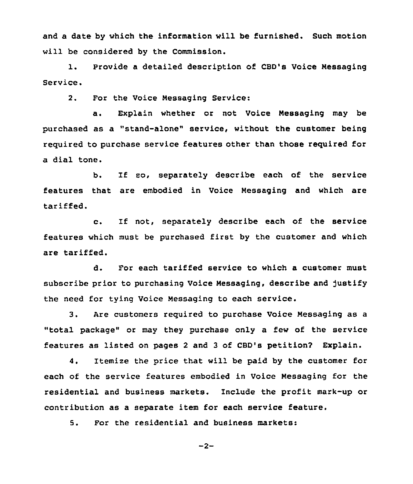and a date by which the information will be furnished. Such motion will be considered by the Commission.

1. Provide <sup>a</sup> detailed description of CBD's Voice Nessaging Service.

2. For the Voice Messaging Service:

a. Explain whether or not Voice Messaging may be purchased as a "stand-alone" service, without the customer being required to purchase service features other than those required for a dial tone.

b. If eo, separately describe each of the service features that are embodied in Voice Messaging and which are tariffed.

c. If not, separately describe each of the service features which must be purchased first by the customer and which are tariffed.

d. For each tariffed service to which a customer must subscribe prior to purchasing Voice Messaging, describe and justify the need for tying Voice Messaging to each service.

3. Are customers required to purchase Voice Messaging as <sup>a</sup> "total package" or may they purchase only a few of the service features as listed on pages <sup>2</sup> and 3 of CBD's petition? Explain.

4. Itemize the price that will be paid by the customer for each of the service features embodied in Voice Nessaging for the residential and business markets. Include the profit mark-up or contribution as a separate item for each service feature.

5. For the residential and business markets:

 $-2-$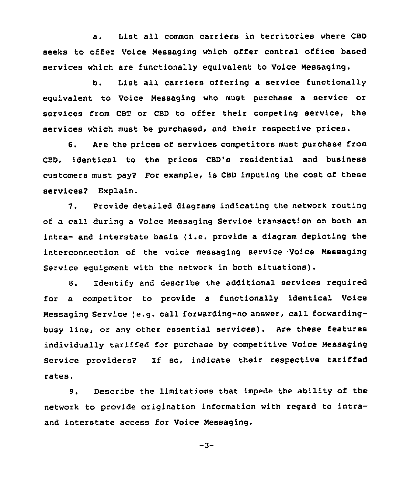a. List all common carriers in territories where CBD seeks to offer Voice Nessaging which offer central office based services which are functionally equivalent to Voice Nessaging.

b. List all carriers offering a service functionally equivalent to Voice Messaging who must purchase a service or services from CBT or CBD to offer their competing service, the services which must be purchased, and their respective prices.

6. Are the prices of services competitors must purchase from CBD, identical to the prices CBD's residential and business customers must pay? For example, is CBD imputing the cost of these services? Explain.

7. Provide detailed diagrams indicating the network routing of a call during a Voice Nessaging Service transaction on both an intra- and interstate basis (i.e. provide <sup>a</sup> diagram depicting the interconnection of the voice messaging service Voice Messaging Service equipment with the network in both situations).

8. Identify and describe the additional services required for a competitor to provide a functionally identical Voice Messaging Service (e.g. call forwarding-no answer, call forwardingbusy line, or any other essential services). Are these features individually tariffed for purchase by competitive Voice Massaging Service providers? If so, indicate their respective tariffed rates.

9. Describe the limitations that impede the ability of the network to provide origination information with regard to intraand interstate access for Voice Nessaging.

$$
-3 -
$$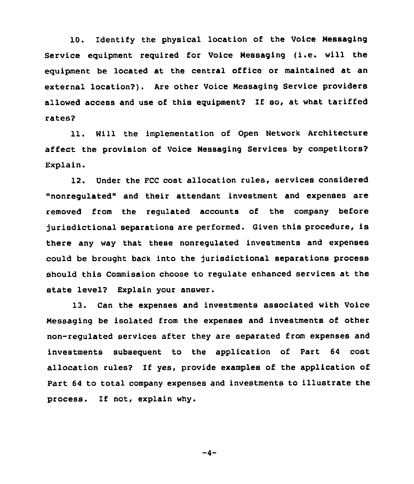10. Identify the physical location of the Voice Nessaging Service equipment required for Voice Nessaging (i.e. will the equipment be located at the central office or maintained at an external location?). Are other Voice Nessaging Service providers allowed access and use of this equipment? If so, at what tariffed rates?

11. Will the implementation of Open Network Architecture affect the provision of Voice Nessaging Services by competitors? Explain.

12. Under the FCC cost allocation rules, services considered "nonregulated" and their attendant investment and expenses are removed from the regulated accounts of the company before jurisdictional separations are performed. Given this procedure, is there any way that these nonregulated investments and expenses could be brought back into the jurisdictional separations process should this Commission choose to regulate enhanced services at the state level? Explain your answer.

13. Can the expenses and investments associated with Voice Nessaging be isolated from the expenses and investments of other non-regulated services after they are separated from expenses and investments subsequent to the application of Part 64 cost allocation rules2 If yes, provide examples of the application of Part 64 to total company expenses and investments to illustrate the process. If not, explain why.

 $-4-$